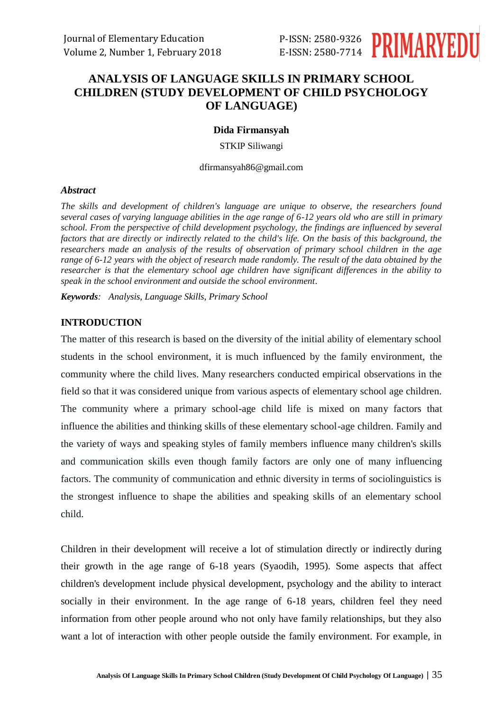

# **ANALYSIS OF LANGUAGE SKILLS IN PRIMARY SCHOOL CHILDREN (STUDY DEVELOPMENT OF CHILD PSYCHOLOGY OF LANGUAGE)**

### **Dida Firmansyah**

STKIP Siliwangi

dfirmansyah86@gmail.com

#### *Abstract*

*The skills and development of children's language are unique to observe, the researchers found several cases of varying language abilities in the age range of 6-12 years old who are still in primary school. From the perspective of child development psychology, the findings are influenced by several factors that are directly or indirectly related to the child's life. On the basis of this background, the researchers made an analysis of the results of observation of primary school children in the age range of 6-12 years with the object of research made randomly. The result of the data obtained by the researcher is that the elementary school age children have significant differences in the ability to speak in the school environment and outside the school environment.*

*Keywords: Analysis, Language Skills, Primary School*

### **INTRODUCTION**

The matter of this research is based on the diversity of the initial ability of elementary school students in the school environment, it is much influenced by the family environment, the community where the child lives. Many researchers conducted empirical observations in the field so that it was considered unique from various aspects of elementary school age children. The community where a primary school-age child life is mixed on many factors that influence the abilities and thinking skills of these elementary school-age children. Family and the variety of ways and speaking styles of family members influence many children's skills and communication skills even though family factors are only one of many influencing factors. The community of communication and ethnic diversity in terms of sociolinguistics is the strongest influence to shape the abilities and speaking skills of an elementary school child.

Children in their development will receive a lot of stimulation directly or indirectly during their growth in the age range of 6-18 years (Syaodih, 1995). Some aspects that affect children's development include physical development, psychology and the ability to interact socially in their environment. In the age range of 6-18 years, children feel they need information from other people around who not only have family relationships, but they also want a lot of interaction with other people outside the family environment. For example, in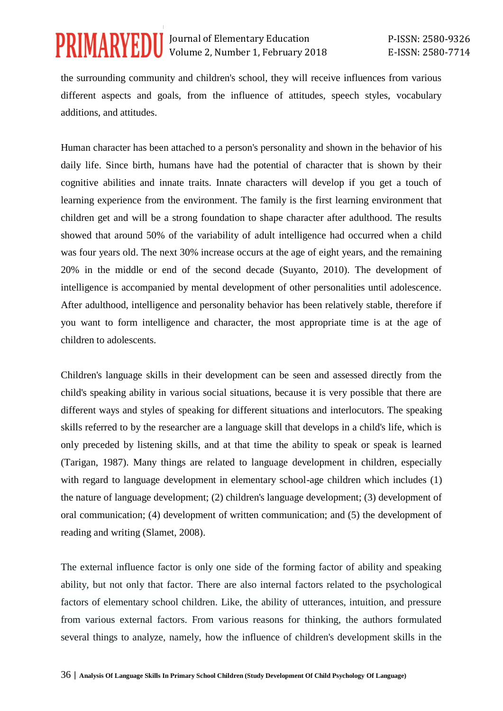the surrounding community and children's school, they will receive influences from various different aspects and goals, from the influence of attitudes, speech styles, vocabulary additions, and attitudes.

Human character has been attached to a person's personality and shown in the behavior of his daily life. Since birth, humans have had the potential of character that is shown by their cognitive abilities and innate traits. Innate characters will develop if you get a touch of learning experience from the environment. The family is the first learning environment that children get and will be a strong foundation to shape character after adulthood. The results showed that around 50% of the variability of adult intelligence had occurred when a child was four years old. The next 30% increase occurs at the age of eight years, and the remaining 20% in the middle or end of the second decade (Suyanto, 2010). The development of intelligence is accompanied by mental development of other personalities until adolescence. After adulthood, intelligence and personality behavior has been relatively stable, therefore if you want to form intelligence and character, the most appropriate time is at the age of children to adolescents.

Children's language skills in their development can be seen and assessed directly from the child's speaking ability in various social situations, because it is very possible that there are different ways and styles of speaking for different situations and interlocutors. The speaking skills referred to by the researcher are a language skill that develops in a child's life, which is only preceded by listening skills, and at that time the ability to speak or speak is learned (Tarigan, 1987). Many things are related to language development in children, especially with regard to language development in elementary school-age children which includes (1) the nature of language development; (2) children's language development; (3) development of oral communication; (4) development of written communication; and (5) the development of reading and writing (Slamet, 2008).

The external influence factor is only one side of the forming factor of ability and speaking ability, but not only that factor. There are also internal factors related to the psychological factors of elementary school children. Like, the ability of utterances, intuition, and pressure from various external factors. From various reasons for thinking, the authors formulated several things to analyze, namely, how the influence of children's development skills in the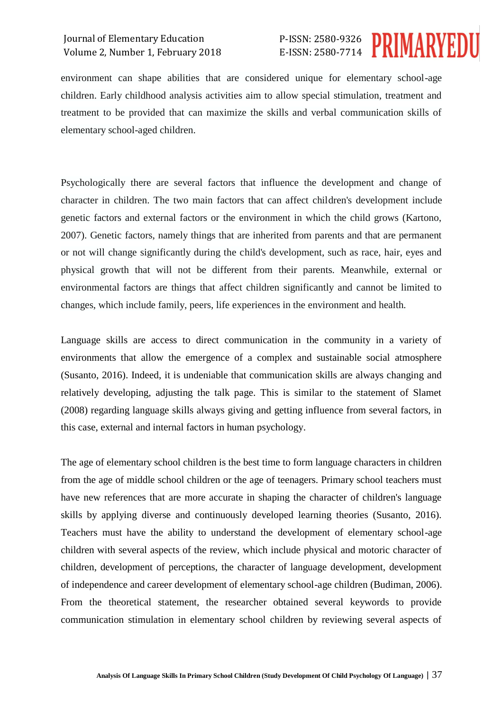# P-ISSN: 2580-9326 E-ISSN: 2580-7714



environment can shape abilities that are considered unique for elementary school-age children. Early childhood analysis activities aim to allow special stimulation, treatment and treatment to be provided that can maximize the skills and verbal communication skills of elementary school-aged children.

Psychologically there are several factors that influence the development and change of character in children. The two main factors that can affect children's development include genetic factors and external factors or the environment in which the child grows (Kartono, 2007). Genetic factors, namely things that are inherited from parents and that are permanent or not will change significantly during the child's development, such as race, hair, eyes and physical growth that will not be different from their parents. Meanwhile, external or environmental factors are things that affect children significantly and cannot be limited to changes, which include family, peers, life experiences in the environment and health.

Language skills are access to direct communication in the community in a variety of environments that allow the emergence of a complex and sustainable social atmosphere (Susanto, 2016). Indeed, it is undeniable that communication skills are always changing and relatively developing, adjusting the talk page. This is similar to the statement of Slamet (2008) regarding language skills always giving and getting influence from several factors, in this case, external and internal factors in human psychology.

The age of elementary school children is the best time to form language characters in children from the age of middle school children or the age of teenagers. Primary school teachers must have new references that are more accurate in shaping the character of children's language skills by applying diverse and continuously developed learning theories (Susanto, 2016). Teachers must have the ability to understand the development of elementary school-age children with several aspects of the review, which include physical and motoric character of children, development of perceptions, the character of language development, development of independence and career development of elementary school-age children (Budiman, 2006). From the theoretical statement, the researcher obtained several keywords to provide communication stimulation in elementary school children by reviewing several aspects of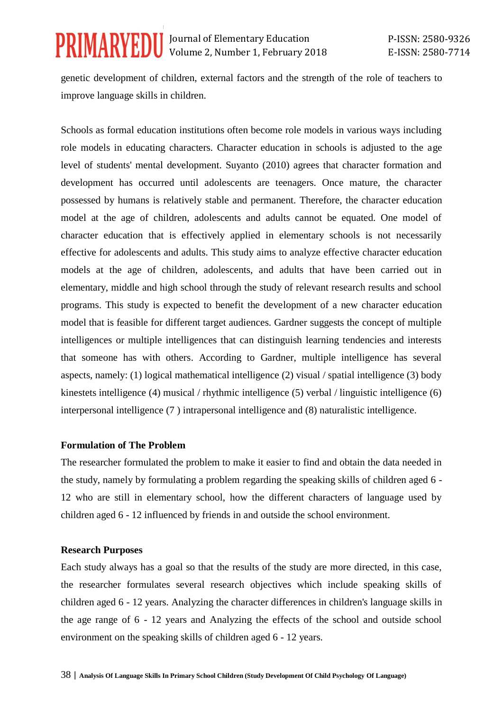genetic development of children, external factors and the strength of the role of teachers to improve language skills in children.

Schools as formal education institutions often become role models in various ways including role models in educating characters. Character education in schools is adjusted to the age level of students' mental development. Suyanto (2010) agrees that character formation and development has occurred until adolescents are teenagers. Once mature, the character possessed by humans is relatively stable and permanent. Therefore, the character education model at the age of children, adolescents and adults cannot be equated. One model of character education that is effectively applied in elementary schools is not necessarily effective for adolescents and adults. This study aims to analyze effective character education models at the age of children, adolescents, and adults that have been carried out in elementary, middle and high school through the study of relevant research results and school programs. This study is expected to benefit the development of a new character education model that is feasible for different target audiences. Gardner suggests the concept of multiple intelligences or multiple intelligences that can distinguish learning tendencies and interests that someone has with others. According to Gardner, multiple intelligence has several aspects, namely: (1) logical mathematical intelligence (2) visual / spatial intelligence (3) body kinestets intelligence (4) musical / rhythmic intelligence (5) verbal / linguistic intelligence (6) interpersonal intelligence (7 ) intrapersonal intelligence and (8) naturalistic intelligence.

#### **Formulation of The Problem**

The researcher formulated the problem to make it easier to find and obtain the data needed in the study, namely by formulating a problem regarding the speaking skills of children aged 6 - 12 who are still in elementary school, how the different characters of language used by children aged 6 - 12 influenced by friends in and outside the school environment.

### **Research Purposes**

Each study always has a goal so that the results of the study are more directed, in this case, the researcher formulates several research objectives which include speaking skills of children aged 6 - 12 years. Analyzing the character differences in children's language skills in the age range of 6 - 12 years and Analyzing the effects of the school and outside school environment on the speaking skills of children aged 6 - 12 years.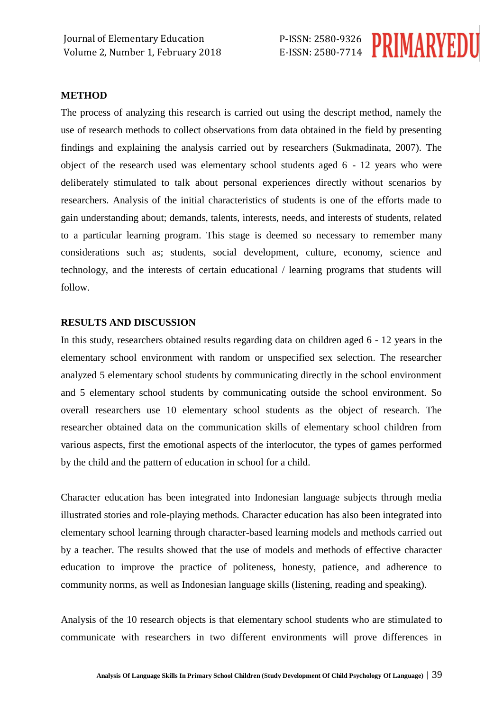

#### **METHOD**

The process of analyzing this research is carried out using the descript method, namely the use of research methods to collect observations from data obtained in the field by presenting findings and explaining the analysis carried out by researchers (Sukmadinata, 2007). The object of the research used was elementary school students aged 6 - 12 years who were deliberately stimulated to talk about personal experiences directly without scenarios by researchers. Analysis of the initial characteristics of students is one of the efforts made to gain understanding about; demands, talents, interests, needs, and interests of students, related to a particular learning program. This stage is deemed so necessary to remember many considerations such as; students, social development, culture, economy, science and technology, and the interests of certain educational / learning programs that students will follow.

#### **RESULTS AND DISCUSSION**

In this study, researchers obtained results regarding data on children aged 6 - 12 years in the elementary school environment with random or unspecified sex selection. The researcher analyzed 5 elementary school students by communicating directly in the school environment and 5 elementary school students by communicating outside the school environment. So overall researchers use 10 elementary school students as the object of research. The researcher obtained data on the communication skills of elementary school children from various aspects, first the emotional aspects of the interlocutor, the types of games performed by the child and the pattern of education in school for a child.

Character education has been integrated into Indonesian language subjects through media illustrated stories and role-playing methods. Character education has also been integrated into elementary school learning through character-based learning models and methods carried out by a teacher. The results showed that the use of models and methods of effective character education to improve the practice of politeness, honesty, patience, and adherence to community norms, as well as Indonesian language skills (listening, reading and speaking).

Analysis of the 10 research objects is that elementary school students who are stimulated to communicate with researchers in two different environments will prove differences in